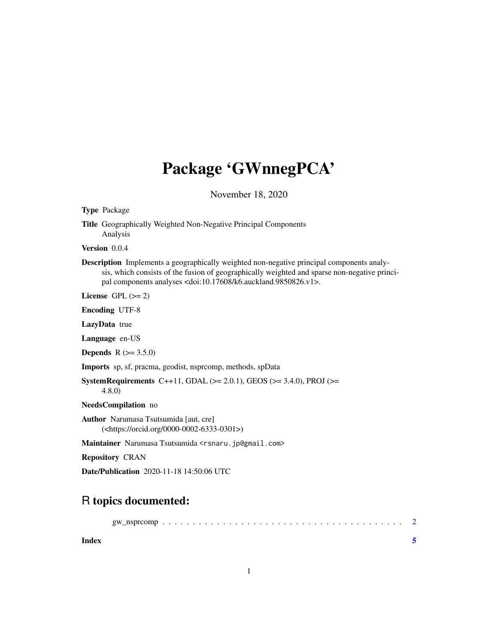## Package 'GWnnegPCA'

November 18, 2020

Type Package

Title Geographically Weighted Non-Negative Principal Components Analysis

Version 0.0.4

Description Implements a geographically weighted non-negative principal components analysis, which consists of the fusion of geographically weighted and sparse non-negative principal components analyses <doi:10.17608/k6.auckland.9850826.v1>.

License GPL  $(>= 2)$ 

Encoding UTF-8

LazyData true

Language en-US

**Depends** R  $(>= 3.5.0)$ 

Imports sp, sf, pracma, geodist, nsprcomp, methods, spData

SystemRequirements C++11, GDAL ( $>= 2.0.1$ ), GEOS ( $>= 3.4.0$ ), PROJ ( $>=$ 4.8.0)

NeedsCompilation no

Author Narumasa Tsutsumida [aut, cre] (<https://orcid.org/0000-0002-6333-0301>)

Maintainer Narumasa Tsutsumida <rsnaru.jp@gmail.com>

Repository CRAN

Date/Publication 2020-11-18 14:50:06 UTC

### R topics documented:

**Index** [5](#page-4-0). The second state of the second state of the second state of the second state of the second state of the second state of the second state of the second state of the second state of the second state of the second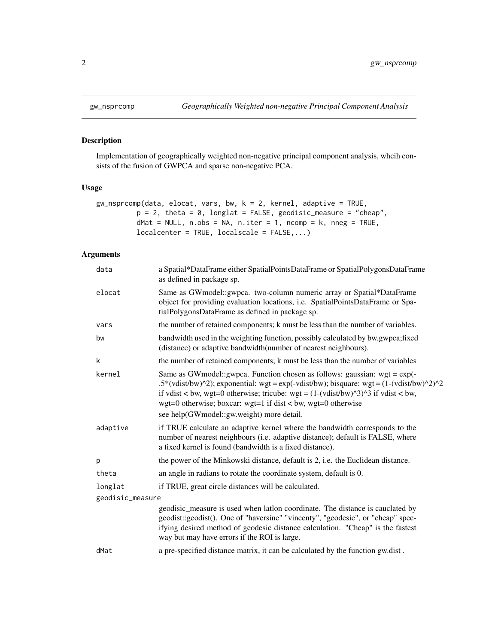#### Description

Implementation of geographically weighted non-negative principal component analysis, whcih consists of the fusion of GWPCA and sparse non-negative PCA.

#### Usage

```
gw_nsprcomp(data, elocat, vars, bw, k = 2, kernel, adaptive = TRUE,
          p = 2, theta = 0, longlat = FALSE, geodisic_measure = "cheap",
          dMat = NULL, n.obs = NA, n.iter = 1, ncomp = k, nneg = TRUE,
          localcenter = TRUE, localscale = FALSE,...)
```
#### Arguments

| data             | a Spatial*DataFrame either SpatialPointsDataFrame or SpatialPolygonsDataFrame<br>as defined in package sp.                                                                                                                                                                                                                                                                                  |
|------------------|---------------------------------------------------------------------------------------------------------------------------------------------------------------------------------------------------------------------------------------------------------------------------------------------------------------------------------------------------------------------------------------------|
| elocat           | Same as GWmodel::gwpca. two-column numeric array or Spatial*DataFrame<br>object for providing evaluation locations, i.e. SpatialPointsDataFrame or Spa-<br>tialPolygonsDataFrame as defined in package sp.                                                                                                                                                                                  |
| vars             | the number of retained components; k must be less than the number of variables.                                                                                                                                                                                                                                                                                                             |
| bw               | bandwidth used in the weighting function, possibly calculated by bw.gwpca; fixed<br>(distance) or adaptive bandwidth (number of nearest neighbours).                                                                                                                                                                                                                                        |
| k                | the number of retained components; k must be less than the number of variables                                                                                                                                                                                                                                                                                                              |
| kernel           | Same as GW model:: gwpca. Function chosen as follows: gaussian: wgt = $exp(-\theta)$<br>.5*(vdist/bw)^2); exponential: wgt = exp(-vdist/bw); bisquare: wgt = $(1-(vdist/bw)^2)^2$<br>if vdist < bw, wgt=0 otherwise; tricube: wgt = $(1-(\text{vdist/bw})^2)^3$ if vdist < bw,<br>wgt=0 otherwise; boxcar: wgt=1 if dist < bw, wgt=0 otherwise<br>see help(GWmodel::gw.weight) more detail. |
| adaptive         | if TRUE calculate an adaptive kernel where the bandwidth corresponds to the<br>number of nearest neighbours (i.e. adaptive distance); default is FALSE, where<br>a fixed kernel is found (bandwidth is a fixed distance).                                                                                                                                                                   |
| p                | the power of the Minkowski distance, default is 2, i.e. the Euclidean distance.                                                                                                                                                                                                                                                                                                             |
| theta            | an angle in radians to rotate the coordinate system, default is 0.                                                                                                                                                                                                                                                                                                                          |
| longlat          | if TRUE, great circle distances will be calculated.                                                                                                                                                                                                                                                                                                                                         |
| geodisic_measure |                                                                                                                                                                                                                                                                                                                                                                                             |
|                  | geodisic_measure is used when latlon coordinate. The distance is cauclated by<br>geodist::geodist(). One of "haversine" "vincenty", "geodesic", or "cheap" spec-<br>ifying desired method of geodesic distance calculation. "Cheap" is the fastest<br>way but may have errors if the ROI is large.                                                                                          |
| dMat             | a pre-specified distance matrix, it can be calculated by the function gw.dist.                                                                                                                                                                                                                                                                                                              |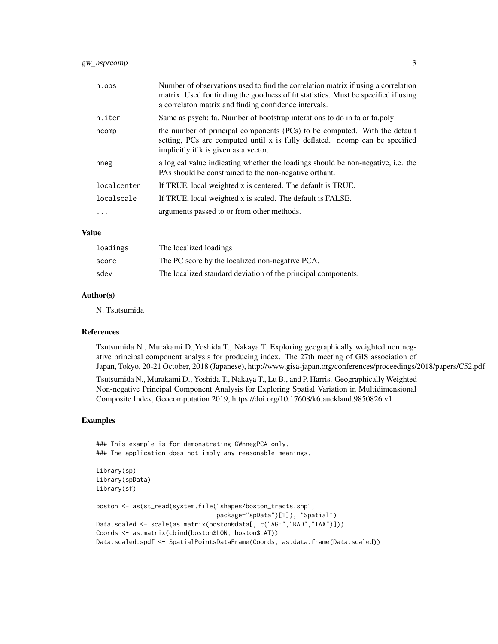#### gw\_nsprcomp 3

| n.obs       | Number of observations used to find the correlation matrix if using a correlation<br>matrix. Used for finding the goodness of fit statistics. Must be specified if using<br>a correlaton matrix and finding confidence intervals. |
|-------------|-----------------------------------------------------------------------------------------------------------------------------------------------------------------------------------------------------------------------------------|
| n.iter      | Same as psych::fa. Number of bootstrap interations to do in fa or fa.poly                                                                                                                                                         |
| ncomp       | the number of principal components (PCs) to be computed. With the default<br>setting, PCs are computed until x is fully deflated. normal can be specified<br>implicitly if k is given as a vector.                                |
| nneg        | a logical value indicating whether the loadings should be non-negative, i.e. the<br>PAs should be constrained to the non-negative orthant.                                                                                        |
| localcenter | If TRUE, local weighted x is centered. The default is TRUE.                                                                                                                                                                       |
| localscale  | If TRUE, local weighted x is scaled. The default is FALSE.                                                                                                                                                                        |
| $\ddotsc$   | arguments passed to or from other methods.                                                                                                                                                                                        |

#### Value

| loadings | The localized loadings                                        |
|----------|---------------------------------------------------------------|
| score    | The PC score by the localized non-negative PCA.               |
| sdev     | The localized standard deviation of the principal components. |

#### Author(s)

N. Tsutsumida

#### References

Tsutsumida N., Murakami D.,Yoshida T., Nakaya T. Exploring geographically weighted non negative principal component analysis for producing index. The 27th meeting of GIS association of Japan, Tokyo, 20-21 October, 2018 (Japanese), http://www.gisa-japan.org/conferences/proceedings/2018/papers/C52.pdf

Tsutsumida N., Murakami D., Yoshida T., Nakaya T., Lu B., and P. Harris. Geographically Weighted Non-negative Principal Component Analysis for Exploring Spatial Variation in Multidimensional Composite Index, Geocomputation 2019, https://doi.org/10.17608/k6.auckland.9850826.v1

#### Examples

```
### This example is for demonstrating GWnnegPCA only.
### The application does not imply any reasonable meanings.
library(sp)
library(spData)
library(sf)
boston <- as(st_read(system.file("shapes/boston_tracts.shp",
                                 package="spData")[1]), "Spatial")
Data.scaled <- scale(as.matrix(boston@data[, c("AGE","RAD","TAX")]))
Coords <- as.matrix(cbind(boston$LON, boston$LAT))
Data.scaled.spdf <- SpatialPointsDataFrame(Coords, as.data.frame(Data.scaled))
```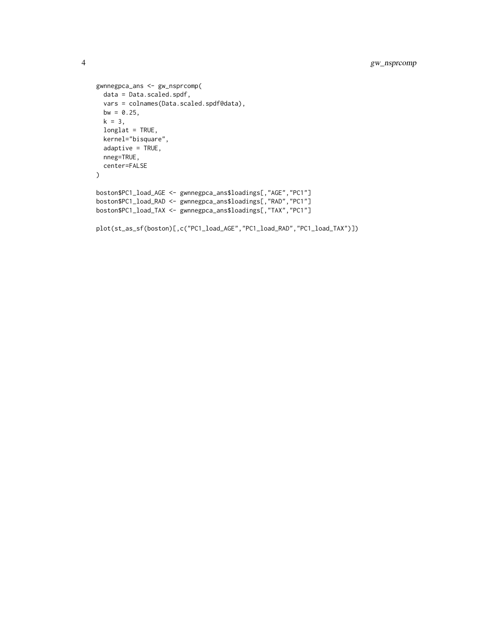```
gwnnegpca_ans <- gw_nsprcomp(
 data = Data.scaled.spdf,
 vars = colnames(Data.scaled.spdf@data),
 bw = 0.25,
  k = 3,longlat = TRUE,
  kernel="bisquare",
  adaptive = TRUE,
  nneg=TRUE,
  center=FALSE
)
boston$PC1_load_AGE <- gwnnegpca_ans$loadings[,"AGE","PC1"]
boston$PC1_load_RAD <- gwnnegpca_ans$loadings[,"RAD","PC1"]
boston$PC1_load_TAX <- gwnnegpca_ans$loadings[,"TAX","PC1"]
plot(st_as_sf(boston)[,c("PC1_load_AGE","PC1_load_RAD","PC1_load_TAX")])
```